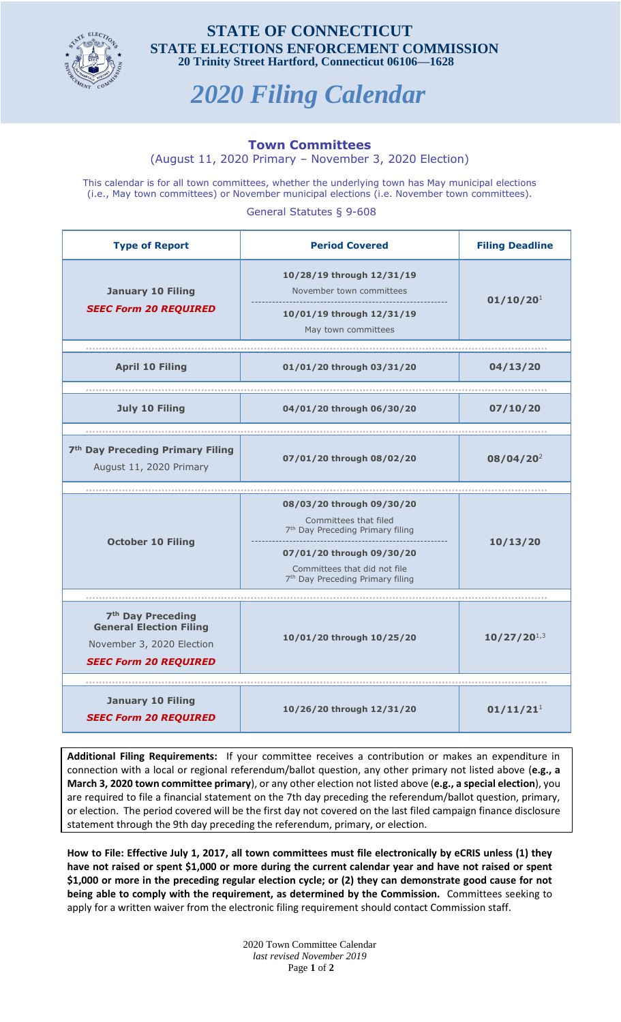

## **STATE OF CONNECTICUT STATE ELECTIONS ENFORCEMENT COMMISSION 20 Trinity Street Hartford, Connecticut 06106—1628**

## *2020 Filing Calendar*

## **Town Committees**

(August 11, 2020 Primary – November 3, 2020 Election)

This calendar is for all town committees, whether the underlying town has May municipal elections (i.e., May town committees) or November municipal elections (i.e. November town committees).

General Statutes § 9-608

| <b>Type of Report</b>                                                                                                        | <b>Period Covered</b>                                                                                                                                                                                           | <b>Filing Deadline</b> |
|------------------------------------------------------------------------------------------------------------------------------|-----------------------------------------------------------------------------------------------------------------------------------------------------------------------------------------------------------------|------------------------|
| <b>January 10 Filing</b><br><b>SEEC Form 20 REQUIRED</b>                                                                     | 10/28/19 through 12/31/19<br>November town committees<br>10/01/19 through 12/31/19<br>May town committees                                                                                                       | 01/10/20 <sup>1</sup>  |
| <b>April 10 Filing</b>                                                                                                       | 01/01/20 through 03/31/20                                                                                                                                                                                       | 04/13/20               |
| <b>July 10 Filing</b>                                                                                                        | 04/01/20 through 06/30/20                                                                                                                                                                                       | 07/10/20               |
| 7 <sup>th</sup> Day Preceding Primary Filing<br>August 11, 2020 Primary                                                      | 07/01/20 through 08/02/20                                                                                                                                                                                       | $08/04/20^2$           |
|                                                                                                                              |                                                                                                                                                                                                                 |                        |
| <b>October 10 Filing</b>                                                                                                     | 08/03/20 through 09/30/20<br>Committees that filed<br>7 <sup>th</sup> Day Preceding Primary filing<br>07/01/20 through 09/30/20<br>Committees that did not file<br>7 <sup>th</sup> Day Preceding Primary filing | 10/13/20               |
|                                                                                                                              |                                                                                                                                                                                                                 |                        |
| 7 <sup>th</sup> Day Preceding<br><b>General Election Filing</b><br>November 3, 2020 Election<br><b>SEEC Form 20 REQUIRED</b> | 10/01/20 through 10/25/20                                                                                                                                                                                       | $10/27/20^{1,3}$       |
|                                                                                                                              |                                                                                                                                                                                                                 |                        |
| <b>January 10 Filing</b><br><b>SEEC Form 20 REQUIRED</b>                                                                     | 10/26/20 through 12/31/20                                                                                                                                                                                       | 01/11/21 <sup>1</sup>  |

**Additional Filing Requirements:** If your committee receives a contribution or makes an expenditure in connection with a local or regional referendum/ballot question, any other primary not listed above (**e.g., a March 3, 2020 town committee primary**), or any other election not listed above (**e.g., a special election**), you are required to file a financial statement on the 7th day preceding the referendum/ballot question, primary, or election. The period covered will be the first day not covered on the last filed campaign finance disclosure statement through the 9th day preceding the referendum, primary, or election.

**How to File: Effective July 1, 2017, all town committees must file electronically by eCRIS unless (1) they have not raised or spent \$1,000 or more during the current calendar year and have not raised or spent \$1,000 or more in the preceding regular election cycle; or (2) they can demonstrate good cause for not being able to comply with the requirement, as determined by the Commission.** Committees seeking to apply for a written waiver from the electronic filing requirement should contact Commission staff.